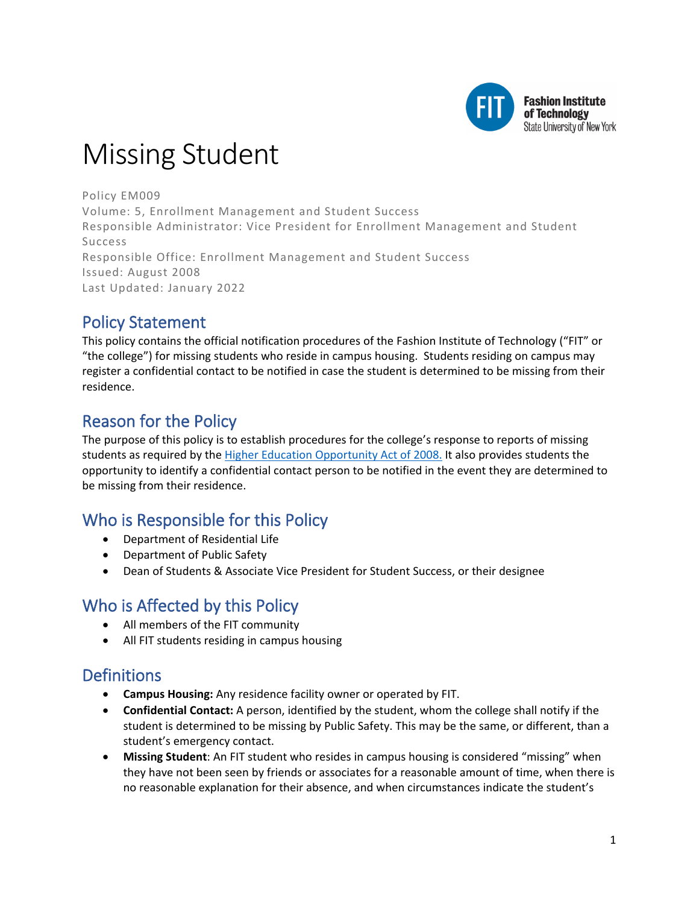

# Missing Student

Policy EM009 Volume: 5, Enrollment Management and Student Success Responsible Administrator: Vice President for Enrollment Management and Student Success Responsible Office: Enrollment Management and Student Success Issued: August 2008 Last Updated: January 2022

## Policy Statement

This policy contains the official notification procedures of the Fashion Institute of Technology ("FIT" or "the college") for missing students who reside in campus housing. Students residing on campus may register a confidential contact to be notified in case the student is determined to be missing from their residence.

# Reason for the Policy

The purpose of this policy is to establish procedures for the college's response to reports of missing students as required by the [Higher Education Opportunity Act of 2008.](https://www2.ed.gov/policy/highered/leg/hea08/index.html) It also provides students the opportunity to identify a confidential contact person to be notified in the event they are determined to be missing from their residence.

# Who is Responsible for this Policy

- Department of Residential Life
- Department of Public Safety
- Dean of Students & Associate Vice President for Student Success, or their designee

### Who is Affected by this Policy

- All members of the FIT community
- All FIT students residing in campus housing

# **Definitions**

- **Campus Housing:** Any residence facility owner or operated by FIT.
- **Confidential Contact:** A person, identified by the student, whom the college shall notify if the student is determined to be missing by Public Safety. This may be the same, or different, than a student's emergency contact.
- **Missing Student**: An FIT student who resides in campus housing is considered "missing" when they have not been seen by friends or associates for a reasonable amount of time, when there is no reasonable explanation for their absence, and when circumstances indicate the student's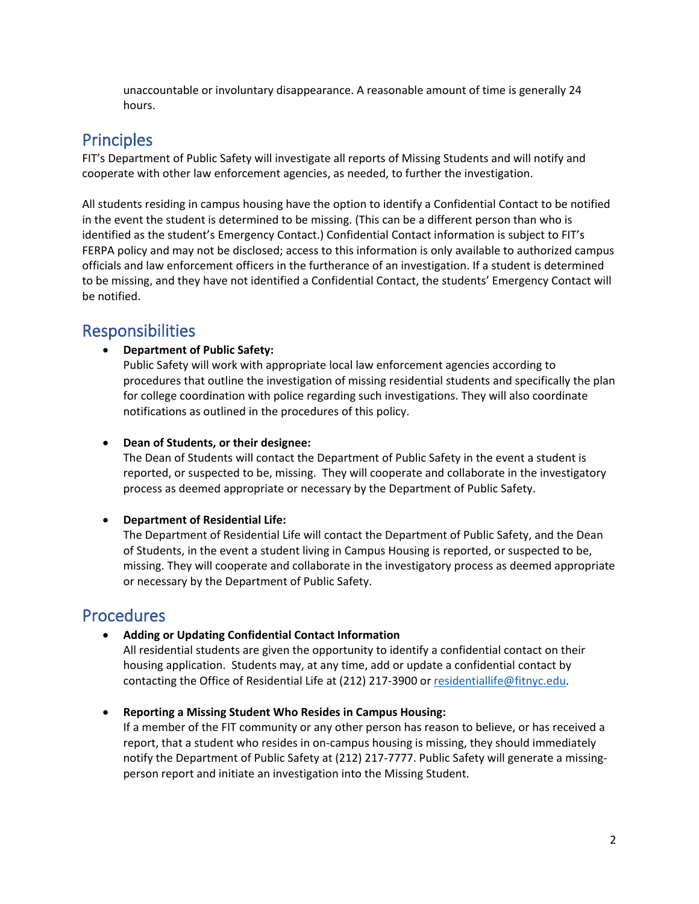unaccountable or involuntary disappearance. A reasonable amount of time is generally 24 hours.

## **Principles**

FIT's Department of Public Safety will investigate all reports of Missing Students and will notify and cooperate with other law enforcement agencies, as needed, to further the investigation.

All students residing in campus housing have the option to identify a Confidential Contact to be notified in the event the student is determined to be missing. (This can be a different person than who is identified as the student's Emergency Contact.) Confidential Contact information is subject to FIT's FERPA policy and may not be disclosed; access to this information is only available to authorized campus officials and law enforcement officers in the furtherance of an investigation. If a student is determined to be missing, and they have not identified a Confidential Contact, the students' Emergency Contact will be notified.

### Responsibilities

#### • **Department of Public Safety:**

Public Safety will work with appropriate local law enforcement agencies according to procedures that outline the investigation of missing residential students and specifically the plan for college coordination with police regarding such investigations. They will also coordinate notifications as outlined in the procedures of this policy.

#### • **Dean of Students, or their designee:**

The Dean of Students will contact the Department of Public Safety in the event a student is reported, or suspected to be, missing. They will cooperate and collaborate in the investigatory process as deemed appropriate or necessary by the Department of Public Safety.

#### • **Department of Residential Life:**

The Department of Residential Life will contact the Department of Public Safety, and the Dean of Students, in the event a student living in Campus Housing is reported, or suspected to be, missing. They will cooperate and collaborate in the investigatory process as deemed appropriate or necessary by the Department of Public Safety.

### Procedures

• **Adding or Updating Confidential Contact Information**

All residential students are given the opportunity to identify a confidential contact on their housing application. Students may, at any time, add or update a confidential contact by contacting the Office of Residential Life at (212) 217-3900 or [residentiallife@fitnyc.edu.](mailto:residentiallife@fitnyc.edu)

• **Reporting a Missing Student Who Resides in Campus Housing:**

If a member of the FIT community or any other person has reason to believe, or has received a report, that a student who resides in on-campus housing is missing, they should immediately notify the Department of Public Safety at (212) 217-7777. Public Safety will generate a missingperson report and initiate an investigation into the Missing Student.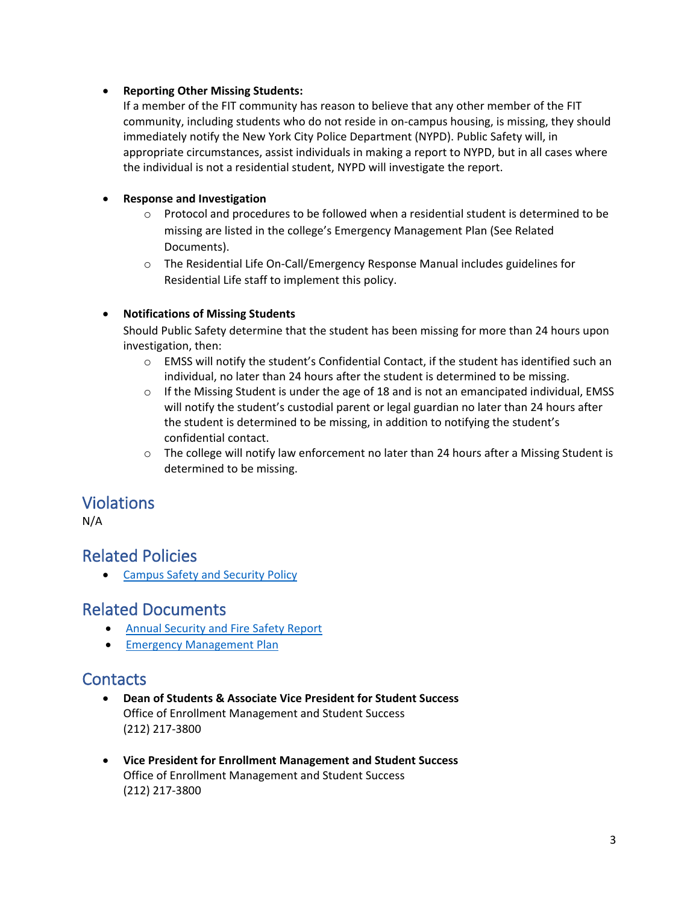#### • **Reporting Other Missing Students:**

If a member of the FIT community has reason to believe that any other member of the FIT community, including students who do not reside in on-campus housing, is missing, they should immediately notify the New York City Police Department (NYPD). Public Safety will, in appropriate circumstances, assist individuals in making a report to NYPD, but in all cases where the individual is not a residential student, NYPD will investigate the report.

#### • **Response and Investigation**

- $\circ$  Protocol and procedures to be followed when a residential student is determined to be missing are listed in the college's Emergency Management Plan (See Related Documents).
- o The Residential Life On-Call/Emergency Response Manual includes guidelines for Residential Life staff to implement this policy.

#### • **Notifications of Missing Students**

Should Public Safety determine that the student has been missing for more than 24 hours upon investigation, then:

- $\circ$  EMSS will notify the student's Confidential Contact, if the student has identified such an individual, no later than 24 hours after the student is determined to be missing.
- $\circ$  If the Missing Student is under the age of 18 and is not an emancipated individual, EMSS will notify the student's custodial parent or legal guardian no later than 24 hours after the student is determined to be missing, in addition to notifying the student's confidential contact.
- $\circ$  The college will notify law enforcement no later than 24 hours after a Missing Student is determined to be missing.

### Violations

N/A

### Related Policies

• [Campus Safety and Security Policy](http://www.fitnyc.edu/policies/safety-security/campus-safety-and-security.php)

### Related Documents

- [Annual Security and Fire Safety Report](https://www.fitnyc.edu/safety/statistics/index.php)
- [Emergency Management Plan](https://www.fitnyc.edu/emergency/)

### **Contacts**

- **Dean of Students & Associate Vice President for Student Success** Office of Enrollment Management and Student Success (212) 217-3800
- **Vice President for Enrollment Management and Student Success** Office of Enrollment Management and Student Success (212) 217-3800